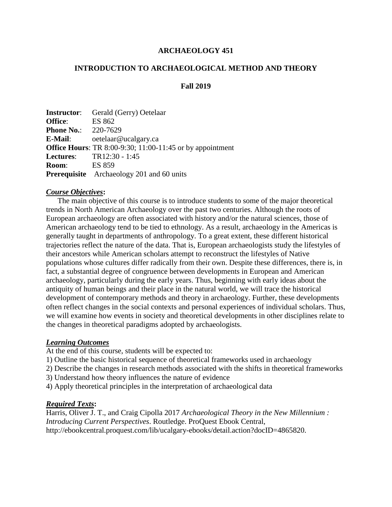## **ARCHAEOLOGY 451**

#### **INTRODUCTION TO ARCHAEOLOGICAL METHOD AND THEORY**

#### **Fall 2019**

|                            | <b>Instructor:</b> Gerald (Gerry) Oetelaar                       |
|----------------------------|------------------------------------------------------------------|
| <b>Office:</b>             | ES 862                                                           |
| <b>Phone No.:</b> 220-7629 |                                                                  |
| E-Mail:                    | oetelaar@ucalgary.ca                                             |
|                            | <b>Office Hours:</b> TR 8:00-9:30; 11:00-11:45 or by appointment |
|                            | <b>Lectures:</b> TR12:30 - 1:45                                  |
| <b>Room:</b>               | ES 859                                                           |
|                            | <b>Prerequisite</b> Archaeology 201 and 60 units                 |

#### *Course Objectives***:**

The main objective of this course is to introduce students to some of the major theoretical trends in North American Archaeology over the past two centuries. Although the roots of European archaeology are often associated with history and/or the natural sciences, those of American archaeology tend to be tied to ethnology. As a result, archaeology in the Americas is generally taught in departments of anthropology. To a great extent, these different historical trajectories reflect the nature of the data. That is, European archaeologists study the lifestyles of their ancestors while American scholars attempt to reconstruct the lifestyles of Native populations whose cultures differ radically from their own. Despite these differences, there is, in fact, a substantial degree of congruence between developments in European and American archaeology, particularly during the early years. Thus, beginning with early ideas about the antiquity of human beings and their place in the natural world, we will trace the historical development of contemporary methods and theory in archaeology. Further, these developments often reflect changes in the social contexts and personal experiences of individual scholars. Thus, we will examine how events in society and theoretical developments in other disciplines relate to the changes in theoretical paradigms adopted by archaeologists.

#### *Learning Outcomes*

At the end of this course, students will be expected to:

- 1) Outline the basic historical sequence of theoretical frameworks used in archaeology
- 2) Describe the changes in research methods associated with the shifts in theoretical frameworks
- 3) Understand how theory influences the nature of evidence
- 4) Apply theoretical principles in the interpretation of archaeological data

#### *Required Texts***:**

Harris, Oliver J. T., and Craig Cipolla 2017 *Archaeological Theory in the New Millennium : Introducing Current Perspectives*. Routledge. ProQuest Ebook Central, http://ebookcentral.proquest.com/lib/ucalgary-ebooks/detail.action?docID=4865820.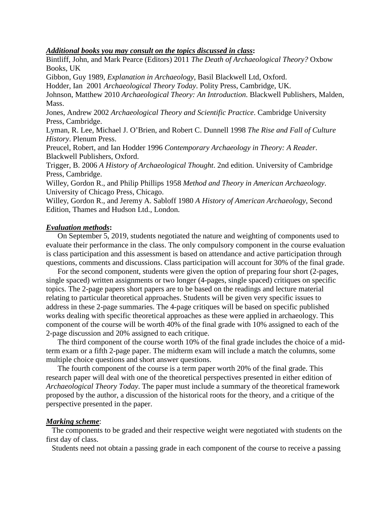#### *Additional books you may consult on the topics discussed in class***:**

Bintliff, John, and Mark Pearce (Editors) 2011 *The Death of Archaeological Theory?* Oxbow Books, UK

Gibbon, Guy 1989, *Explanation in Archaeology*, Basil Blackwell Ltd, Oxford.

Hodder, Ian 2001 *Archaeological Theory Today*. Polity Press, Cambridge, UK.

Johnson, Matthew 2010 *Archaeological Theory: An Introduction*. Blackwell Publishers, Malden, Mass.

Jones, Andrew 2002 *Archaeological Theory and Scientific Practice*. Cambridge University Press, Cambridge.

Lyman, R. Lee, Michael J. O'Brien, and Robert C. Dunnell 1998 *The Rise and Fall of Culture History*. Plenum Press.

Preucel, Robert, and Ian Hodder 1996 *Contemporary Archaeology in Theory: A Reader*. Blackwell Publishers, Oxford.

Trigger, B. 2006 *A History of Archaeological Thought*. 2nd edition. University of Cambridge Press, Cambridge.

Willey, Gordon R., and Philip Phillips 1958 *Method and Theory in American Archaeology*. University of Chicago Press, Chicago.

Willey, Gordon R., and Jeremy A. Sabloff 1980 *A History of American Archaeology*, Second Edition, Thames and Hudson Ltd., London.

## *Evaluation methods***:**

On September 5, 2019, students negotiated the nature and weighting of components used to evaluate their performance in the class. The only compulsory component in the course evaluation is class participation and this assessment is based on attendance and active participation through questions, comments and discussions. Class participation will account for 30% of the final grade.

For the second component, students were given the option of preparing four short (2-pages, single spaced) written assignments or two longer (4-pages, single spaced) critiques on specific topics. The 2-page papers short papers are to be based on the readings and lecture material relating to particular theoretical approaches. Students will be given very specific issues to address in these 2-page summaries. The 4-page critiques will be based on specific published works dealing with specific theoretical approaches as these were applied in archaeology. This component of the course will be worth 40% of the final grade with 10% assigned to each of the 2-page discussion and 20% assigned to each critique.

The third component of the course worth 10% of the final grade includes the choice of a midterm exam or a fifth 2-page paper. The midterm exam will include a match the columns, some multiple choice questions and short answer questions.

The fourth component of the course is a term paper worth 20% of the final grade. This research paper will deal with one of the theoretical perspectives presented in either edition of *Archaeological Theory Today*. The paper must include a summary of the theoretical framework proposed by the author, a discussion of the historical roots for the theory, and a critique of the perspective presented in the paper.

## *Marking scheme*:

The components to be graded and their respective weight were negotiated with students on the first day of class.

Students need not obtain a passing grade in each component of the course to receive a passing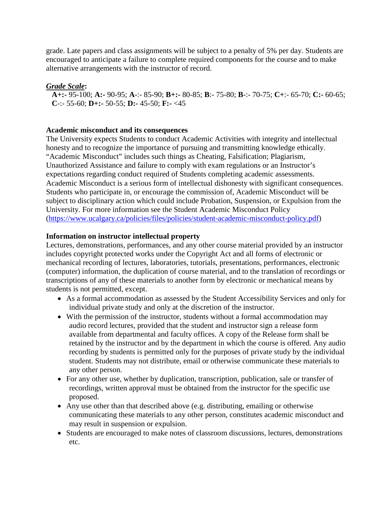grade. Late papers and class assignments will be subject to a penalty of 5% per day. Students are encouraged to anticipate a failure to complete required components for the course and to make alternative arrangements with the instructor of record.

# *Grade Scale***:**

**A+:-** 95-100; **A:-** 90-95; **A**-:- 85-90; **B+:-** 80-85; **B**:- 75-80; **B**-:- 70-75; **C+**:- 65-70; **C:-** 60-65; **C**-:- 55-60; **D+:-** 50-55; **D:-** 45-50; **F:-** <45

## **Academic misconduct and its consequences**

The University expects Students to conduct Academic Activities with integrity and intellectual honesty and to recognize the importance of pursuing and transmitting knowledge ethically. "Academic Misconduct" includes such things as Cheating, Falsification; Plagiarism, Unauthorized Assistance and failure to comply with exam regulations or an Instructor's expectations regarding conduct required of Students completing academic assessments. Academic Misconduct is a serious form of intellectual dishonesty with significant consequences. Students who participate in, or encourage the commission of, Academic Misconduct will be subject to disciplinary action which could include Probation, Suspension, or Expulsion from the University. For more information see the Student Academic Misconduct Policy [\(https://www.ucalgary.ca/policies/files/policies/student-academic-misconduct-policy.pdf\)](https://www.ucalgary.ca/policies/files/policies/student-academic-misconduct-policy.pdf)

## **Information on instructor intellectual property**

Lectures, demonstrations, performances, and any other course material provided by an instructor includes copyright protected works under the Copyright Act and all forms of electronic or mechanical recording of lectures, laboratories, tutorials, presentations, performances, electronic (computer) information, the duplication of course material, and to the translation of recordings or transcriptions of any of these materials to another form by electronic or mechanical means by students is not permitted, except.

- As a formal accommodation as assessed by the Student Accessibility Services and only for individual private study and only at the discretion of the instructor.
- With the permission of the instructor, students without a formal accommodation may audio record lectures, provided that the student and instructor sign a release form available from departmental and faculty offices. A copy of the Release form shall be retained by the instructor and by the department in which the course is offered. Any audio recording by students is permitted only for the purposes of private study by the individual student. Students may not distribute, email or otherwise communicate these materials to any other person.
- For any other use, whether by duplication, transcription, publication, sale or transfer of recordings, written approval must be obtained from the instructor for the specific use proposed.
- Any use other than that described above (e.g. distributing, emailing or otherwise communicating these materials to any other person, constitutes academic misconduct and may result in suspension or expulsion.
- Students are encouraged to make notes of classroom discussions, lectures, demonstrations etc.